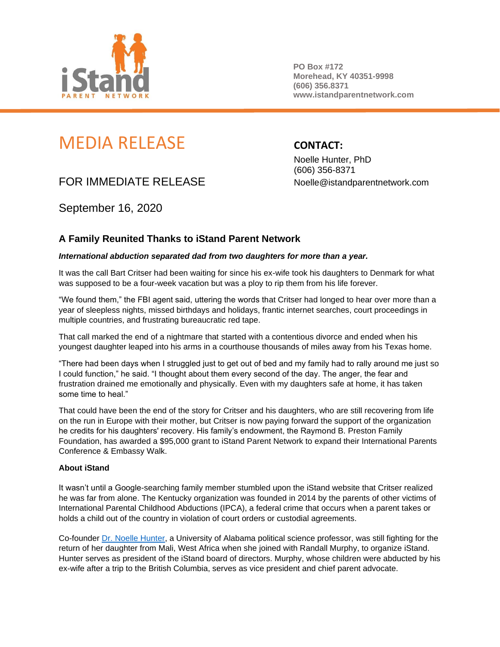

# MEDIA RELEASE **CONTACT:**

## FOR IMMEDIATE RELEASE Noelle@istandparentnetwork.com

Noelle Hunter, PhD (606) 356-8371

September 16, 2020

### **A Family Reunited Thanks to iStand Parent Network**

#### *International abduction separated dad from two daughters for more than a year.*

It was the call Bart Critser had been waiting for since his ex-wife took his daughters to Denmark for what was supposed to be a four-week vacation but was a ploy to rip them from his life forever.

"We found them," the FBI agent said, uttering the words that Critser had longed to hear over more than a year of sleepless nights, missed birthdays and holidays, frantic internet searches, court proceedings in multiple countries, and frustrating bureaucratic red tape.

That call marked the end of a nightmare that started with a contentious divorce and ended when his youngest daughter leaped into his arms in a courthouse thousands of miles away from his Texas home.

"There had been days when I struggled just to get out of bed and my family had to rally around me just so I could function," he said. "I thought about them every second of the day. The anger, the fear and frustration drained me emotionally and physically. Even with my daughters safe at home, it has taken some time to heal."

That could have been the end of the story for Critser and his daughters, who are still recovering from life on the run in Europe with their mother, but Critser is now paying forward the support of the organization he credits for his daughters' recovery. His family's endowment, the Raymond B. Preston Family Foundation, has awarded a \$95,000 grant to iStand Parent Network to expand their International Parents Conference & Embassy Walk.

#### **About iStand**

It wasn't until a Google-searching family member stumbled upon the iStand website that Critser realized he was far from alone. The Kentucky organization was founded in 2014 by the parents of other victims of International Parental Childhood Abductions (IPCA), a federal crime that occurs when a parent takes or holds a child out of the country in violation of court orders or custodial agreements.

Co-founder [Dr. Noelle Hunter,](https://www.linkedin.com/in/noelle-hunter-ph-d-6b551057/) a University of Alabama political science professor, was still fighting for the return of her daughter from Mali, West Africa when she joined with Randall Murphy, to organize iStand. Hunter serves as president of the iStand board of directors. Murphy, whose children were abducted by his ex-wife after a trip to the British Columbia, serves as vice president and chief parent advocate.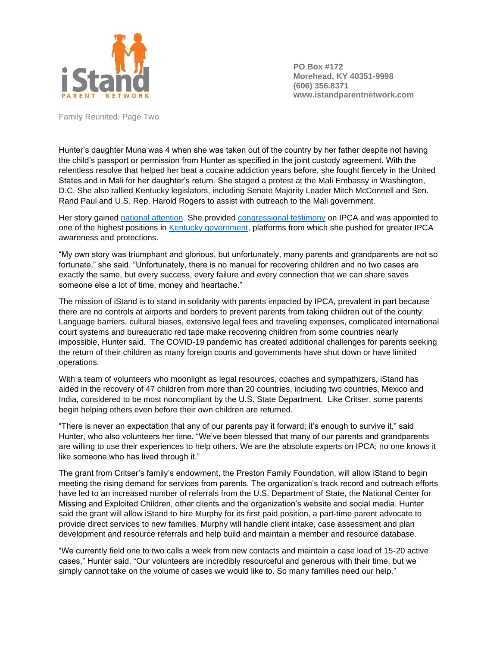

Family Reunited: Page Two

Hunter's daughter Muna was 4 when she was taken out of the country by her father despite not having the child's passport or permission from Hunter as specified in the joint custody agreement. With the relentless resolve that helped her beat a cocaine addiction years before, she fought fiercely in the United States and in Mali for her daughter's return. She staged a protest at the Mali Embassy in Washington, D.C. She also rallied Kentucky legislators, including Senate Majority Leader Mitch McConnell and Sen. Rand Paul and U.S. Rep. Harold Rogers to assist with outreach to the Mali government.

Her story gained [national attention.](https://www.courier-journal.com/story/news/politics/2014/10/08/behind-mcconnell-ad-ky-womans-story/16921211/) She provided [congressional testimony](https://www.congress.gov/115/meeting/house/105845/witnesses/HHRG-115-FA16-Wstate-HunterN-20170406.pdf) on IPCA and was appointed to one of the highest positions in [Kentucky government,](https://www.cnhi.com/featured_stories/former-addict-public-servant-appointed-to-one-of-kentuckys-highest-positions/article_38c53e32-371d-11e6-8630-5f4a5d631a09.html) platforms from which she pushed for greater IPCA awareness and protections.

"My own story was triumphant and glorious, but unfortunately, many parents and grandparents are not so fortunate," she said. "Unfortunately, there is no manual for recovering children and no two cases are exactly the same, but every success, every failure and every connection that we can share saves someone else a lot of time, money and heartache."

The mission of iStand is to stand in solidarity with parents impacted by IPCA, prevalent in part because there are no controls at airports and borders to prevent parents from taking children out of the county. Language barriers, cultural biases, extensive legal fees and traveling expenses, complicated international court systems and bureaucratic red tape make recovering children from some countries nearly impossible, Hunter said. The COVID-19 pandemic has created additional challenges for parents seeking the return of their children as many foreign courts and governments have shut down or have limited operations.

With a team of volunteers who moonlight as legal resources, coaches and sympathizers, iStand has aided in the recovery of 47 children from more than 20 countries, including two countries, Mexico and India, considered to be most noncompliant by the U.S. State Department. Like Critser, some parents begin helping others even before their own children are returned.

"There is never an expectation that any of our parents pay it forward; it's enough to survive it," said Hunter, who also volunteers her time. "We've been blessed that many of our parents and grandparents are willing to use their experiences to help others. We are the absolute experts on IPCA; no one knows it like someone who has lived through it."

The grant from Critser's family's endowment, the Preston Family Foundation, will allow iStand to begin meeting the rising demand for services from parents. The organization's track record and outreach efforts have led to an increased number of referrals from the U.S. Department of State, the National Center for Missing and Exploited Children, other clients and the organization's website and social media. Hunter said the grant will allow iStand to hire Murphy for its first paid position, a part-time parent advocate to provide direct services to new families. Murphy will handle client intake, case assessment and plan development and resource referrals and help build and maintain a member and resource database.

"We currently field one to two calls a week from new contacts and maintain a case load of 15-20 active cases," Hunter said. "Our volunteers are incredibly resourceful and generous with their time, but we simply cannot take on the volume of cases we would like to. So many families need our help."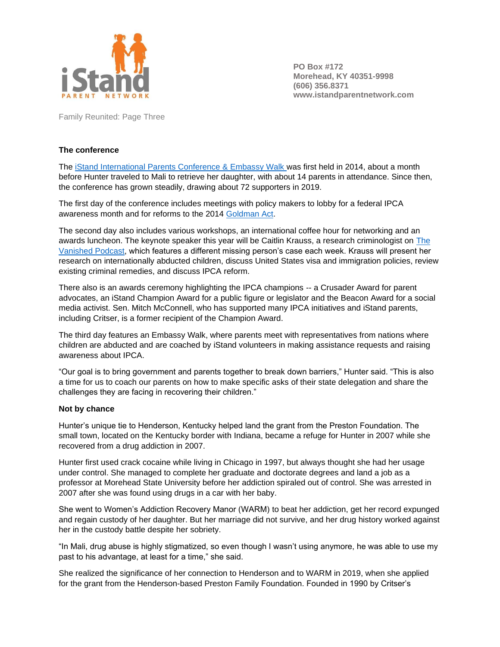

Family Reunited: Page Three

#### **The conference**

The [iStand International Parents Conference & Embassy Walk](https://www.istandparentnetwork.com/istand-2020-ignite-fight-reunite) was first held in 2014, about a month before Hunter traveled to Mali to retrieve her daughter, with about 14 parents in attendance. Since then, the conference has grown steadily, drawing about 72 supporters in 2019.

The first day of the conference includes meetings with policy makers to lobby for a federal IPCA awareness month and for reforms to the 2014 [Goldman Act.](https://travel.state.gov/content/dam/childabduction/International%20Child%20Abduction%20Prevention%20and%20Return%20Act.pdf)

The second day also includes various workshops, an international coffee hour for networking and an awards luncheon. The keynote speaker this year will be Caitlin Krauss, a research criminologist on [The](http://www.thevanishedpodcast.com/)  [Vanished Podcast,](http://www.thevanishedpodcast.com/) which features a different missing person's case each week. Krauss will present her research on internationally abducted children, discuss United States visa and immigration policies, review existing criminal remedies, and discuss IPCA reform.

There also is an awards ceremony highlighting the IPCA champions -- a Crusader Award for parent advocates, an iStand Champion Award for a public figure or legislator and the Beacon Award for a social media activist. Sen. Mitch McConnell, who has supported many IPCA initiatives and iStand parents, including Critser, is a former recipient of the Champion Award.

The third day features an Embassy Walk, where parents meet with representatives from nations where children are abducted and are coached by iStand volunteers in making assistance requests and raising awareness about IPCA.

"Our goal is to bring government and parents together to break down barriers," Hunter said. "This is also a time for us to coach our parents on how to make specific asks of their state delegation and share the challenges they are facing in recovering their children."

#### **Not by chance**

Hunter's unique tie to Henderson, Kentucky helped land the grant from the Preston Foundation. The small town, located on the Kentucky border with Indiana, became a refuge for Hunter in 2007 while she recovered from a drug addiction in 2007.

Hunter first used crack cocaine while living in Chicago in 1997, but always thought she had her usage under control. She managed to complete her graduate and doctorate degrees and land a job as a professor at Morehead State University before her addiction spiraled out of control. She was arrested in 2007 after she was found using drugs in a car with her baby.

She went to Women's Addiction Recovery Manor (WARM) to beat her addiction, get her record expunged and regain custody of her daughter. But her marriage did not survive, and her drug history worked against her in the custody battle despite her sobriety.

"In Mali, drug abuse is highly stigmatized, so even though I wasn't using anymore, he was able to use my past to his advantage, at least for a time," she said.

She realized the significance of her connection to Henderson and to WARM in 2019, when she applied for the grant from the Henderson-based Preston Family Foundation. Founded in 1990 by Critser's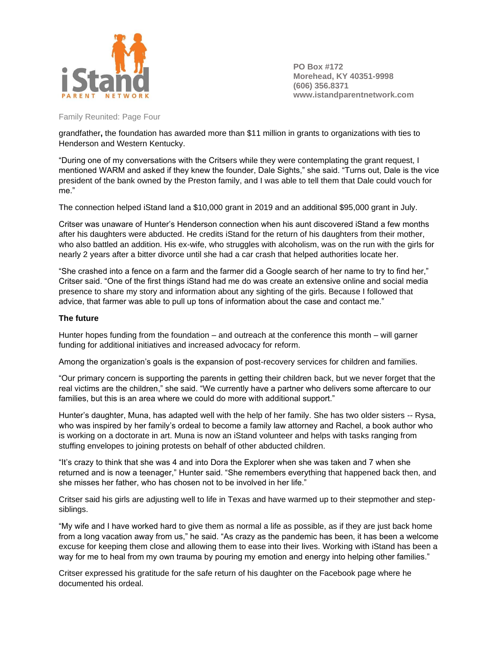

Family Reunited: Page Four

grandfather**,** the foundation has awarded more than \$11 million in grants to organizations with ties to Henderson and Western Kentucky.

"During one of my conversations with the Critsers while they were contemplating the grant request, I mentioned WARM and asked if they knew the founder, Dale Sights," she said. "Turns out, Dale is the vice president of the bank owned by the Preston family, and I was able to tell them that Dale could vouch for me."

The connection helped iStand land a \$10,000 grant in 2019 and an additional \$95,000 grant in July.

Critser was unaware of Hunter's Henderson connection when his aunt discovered iStand a few months after his daughters were abducted. He credits iStand for the return of his daughters from their mother, who also battled an addition. His ex-wife, who struggles with alcoholism, was on the run with the girls for nearly 2 years after a bitter divorce until she had a car crash that helped authorities locate her.

"She crashed into a fence on a farm and the farmer did a Google search of her name to try to find her," Critser said. "One of the first things iStand had me do was create an extensive online and social media presence to share my story and information about any sighting of the girls. Because I followed that advice, that farmer was able to pull up tons of information about the case and contact me."

#### **The future**

Hunter hopes funding from the foundation – and outreach at the conference this month – will garner funding for additional initiatives and increased advocacy for reform.

Among the organization's goals is the expansion of post-recovery services for children and families.

"Our primary concern is supporting the parents in getting their children back, but we never forget that the real victims are the children," she said. "We currently have a partner who delivers some aftercare to our families, but this is an area where we could do more with additional support."

Hunter's daughter, Muna, has adapted well with the help of her family. She has two older sisters -- Rysa, who was inspired by her family's ordeal to become a family law attorney and Rachel, a book author who is working on a doctorate in art. Muna is now an iStand volunteer and helps with tasks ranging from stuffing envelopes to joining protests on behalf of other abducted children.

"It's crazy to think that she was 4 and into Dora the Explorer when she was taken and 7 when she returned and is now a teenager," Hunter said. "She remembers everything that happened back then, and she misses her father, who has chosen not to be involved in her life."

Critser said his girls are adjusting well to life in Texas and have warmed up to their stepmother and stepsiblings.

"My wife and I have worked hard to give them as normal a life as possible, as if they are just back home from a long vacation away from us," he said. "As crazy as the pandemic has been, it has been a welcome excuse for keeping them close and allowing them to ease into their lives. Working with iStand has been a way for me to heal from my own trauma by pouring my emotion and energy into helping other families."

Critser expressed his gratitude for the safe return of his daughter on the Facebook page where he documented his ordeal.